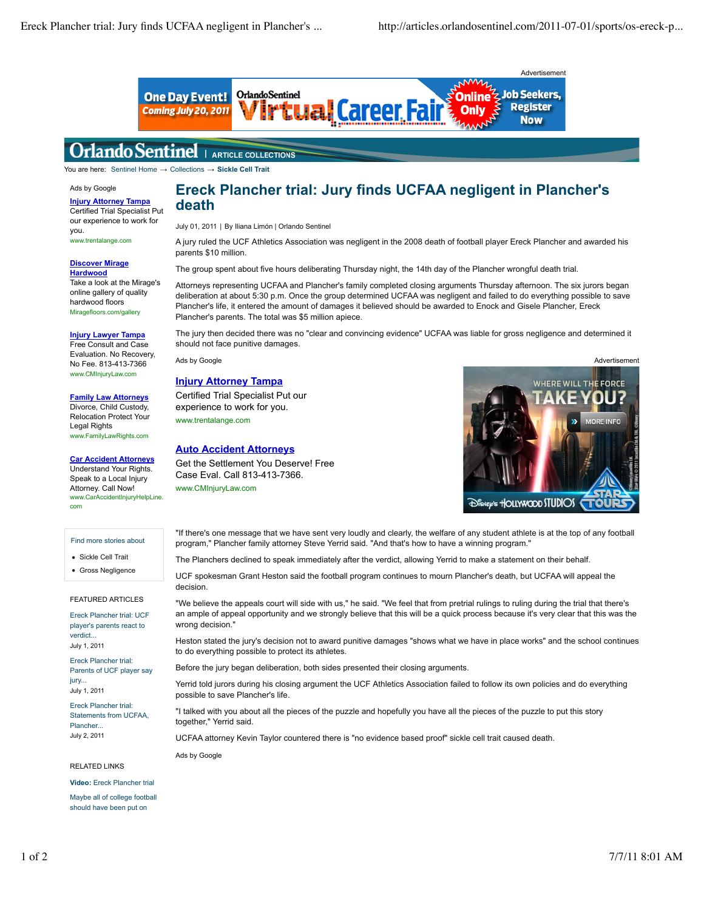

#### Orlando Sentinel **ARTICLE COLLECTIONS**

You are here: Sentinel Home → Collections → **Sickle Cell Trait**

## Ads by Google

**Injury Attorney Tampa** Certified Trial Specialist Put our experience to work for you. www.trentalange.com

#### **Discover Mirage Hardwood**

Take a look at the Mirage's online gallery of quality hardwood floors Miragefloors.com/gallery

#### **Injury Lawyer Tampa**

Free Consult and Case Evaluation. No Recovery, No Fee. 813-413-7366 www.CMInjuryLaw.com

#### **Family Law Attorneys** Divorce, Child Custody,

Relocation Protect Your Legal Rights www.FamilyLawRights.com

## **Car Accident Attorneys**

Understand Your Rights. Speak to a Local Injury Attorney. Call Now! www.CarAccidentInjuryHelpLine. com

#### Find more stories about

Sickle Cell Trait

Gross Negligence

## FEATURED ARTICLES

Ereck Plancher trial: UCF player's parents react to verdict... July 1, 2011

Ereck Plancher trial: Parents of UCF player say jury... July 1, 2011

Ereck Plancher trial: Statements from UCFAA, Plancher... July 2, 2011

## RELATED LINKS

**Video:** Ereck Plancher trial

Maybe all of college football should have been put on

# **Ereck Plancher trial: Jury finds UCFAA negligent in Plancher's death**

July 01, 2011 | By Iliana Limón | Orlando Sentinel

A jury ruled the UCF Athletics Association was negligent in the 2008 death of football player Ereck Plancher and awarded his parents \$10 million.

The group spent about five hours deliberating Thursday night, the 14th day of the Plancher wrongful death trial.

Attorneys representing UCFAA and Plancher's family completed closing arguments Thursday afternoon. The six jurors began deliberation at about 5:30 p.m. Once the group determined UCFAA was negligent and failed to do everything possible to save Plancher's life, it entered the amount of damages it believed should be awarded to Enock and Gisele Plancher, Ereck Plancher's parents. The total was \$5 million apiece.

The jury then decided there was no "clear and convincing evidence" UCFAA was liable for gross negligence and determined it should not face punitive damages.

#### **Injury Attorney Tampa**

Certified Trial Specialist Put our experience to work for you. www.trentalange.com

## **Auto Accident Attorneys**

Get the Settlement You Deserve! Free Case Eval. Call 813-413-7366. www.CMInjuryLaw.com



"If there's one message that we have sent very loudly and clearly, the welfare of any student athlete is at the top of any football program," Plancher family attorney Steve Yerrid said. "And that's how to have a winning program."

The Planchers declined to speak immediately after the verdict, allowing Yerrid to make a statement on their behalf.

UCF spokesman Grant Heston said the football program continues to mourn Plancher's death, but UCFAA will appeal the decision.

"We believe the appeals court will side with us," he said. "We feel that from pretrial rulings to ruling during the trial that there's an ample of appeal opportunity and we strongly believe that this will be a quick process because it's very clear that this was the wrong decision."

Heston stated the jury's decision not to award punitive damages "shows what we have in place works" and the school continues to do everything possible to protect its athletes.

Before the jury began deliberation, both sides presented their closing arguments.

Yerrid told jurors during his closing argument the UCF Athletics Association failed to follow its own policies and do everything possible to save Plancher's life.

"I talked with you about all the pieces of the puzzle and hopefully you have all the pieces of the puzzle to put this story together," Yerrid said.

UCFAA attorney Kevin Taylor countered there is "no evidence based proof" sickle cell trait caused death.

Ads by Google